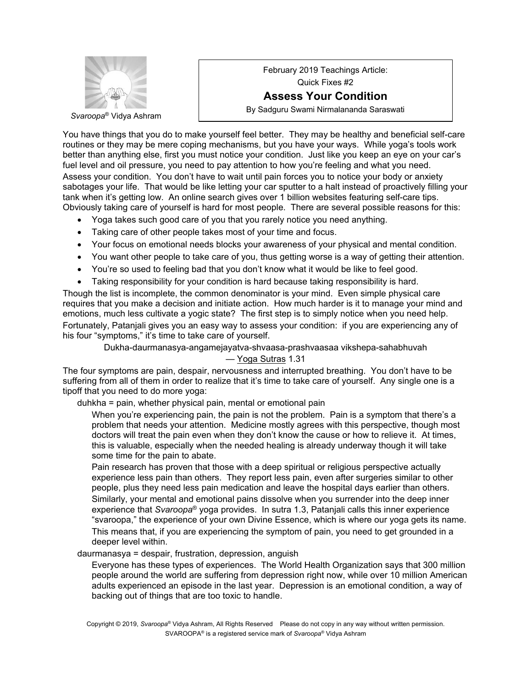

February 2019 Teachings Article: Quick Fixes #2 **Assess Your Condition** By Sadguru Swami Nirmalananda Saraswati

You have things that you do to make yourself feel better. They may be healthy and beneficial self-care routines or they may be mere coping mechanisms, but you have your ways. While yoga's tools work better than anything else, first you must notice your condition. Just like you keep an eye on your car's fuel level and oil pressure, you need to pay attention to how you're feeling and what you need. Assess your condition. You don't have to wait until pain forces you to notice your body or anxiety sabotages your life. That would be like letting your car sputter to a halt instead of proactively filling your tank when it's getting low. An online search gives over 1 billion websites featuring self-care tips. Obviously taking care of yourself is hard for most people. There are several possible reasons for this:

- Yoga takes such good care of you that you rarely notice you need anything.
- Taking care of other people takes most of your time and focus.
- Your focus on emotional needs blocks your awareness of your physical and mental condition.
- You want other people to take care of you, thus getting worse is a way of getting their attention.
- You're so used to feeling bad that you don't know what it would be like to feel good.
- Taking responsibility for your condition is hard because taking responsibility is hard.

Though the list is incomplete, the common denominator is your mind. Even simple physical care requires that you make a decision and initiate action. How much harder is it to manage your mind and emotions, much less cultivate a yogic state? The first step is to simply notice when you need help. Fortunately, Patanjali gives you an easy way to assess your condition: if you are experiencing any of his four "symptoms," it's time to take care of yourself.

Dukha-daurmanasya-angamejayatva-shvaasa-prashvaasaa vikshepa-sahabhuvah

## — Yoga Sutras 1.31

The four symptoms are pain, despair, nervousness and interrupted breathing. You don't have to be suffering from all of them in order to realize that it's time to take care of yourself. Any single one is a tipoff that you need to do more yoga:

duhkha = pain, whether physical pain, mental or emotional pain

When you're experiencing pain, the pain is not the problem. Pain is a symptom that there's a problem that needs your attention. Medicine mostly agrees with this perspective, though most doctors will treat the pain even when they don't know the cause or how to relieve it. At times, this is valuable, especially when the needed healing is already underway though it will take some time for the pain to abate.

Pain research has proven that those with a deep spiritual or religious perspective actually experience less pain than others. They report less pain, even after surgeries similar to other people, plus they need less pain medication and leave the hospital days earlier than others. Similarly, your mental and emotional pains dissolve when you surrender into the deep inner experience that *Svaroopa*® yoga provides. In sutra 1.3, Patanjali calls this inner experience "svaroopa," the experience of your own Divine Essence, which is where our yoga gets its name. This means that, if you are experiencing the symptom of pain, you need to get grounded in a deeper level within.

daurmanasya = despair, frustration, depression, anguish

Everyone has these types of experiences. The World Health Organization says that 300 million people around the world are suffering from depression right now, while over 10 million American adults experienced an episode in the last year. Depression is an emotional condition, a way of backing out of things that are too toxic to handle.